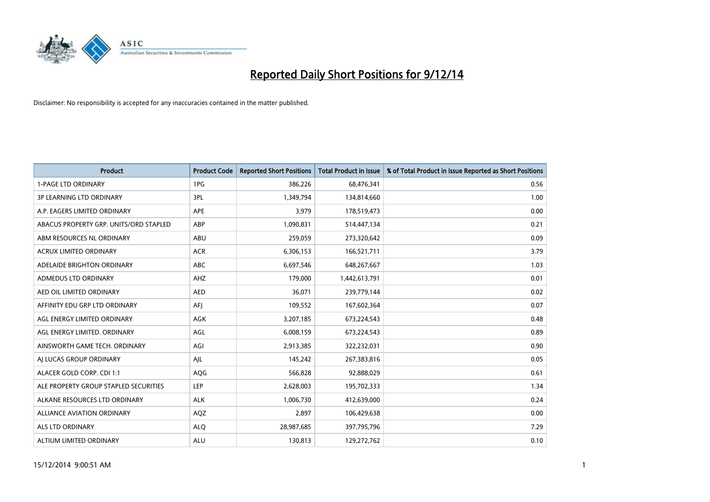

| <b>Product</b>                         | <b>Product Code</b> | <b>Reported Short Positions</b> | <b>Total Product in Issue</b> | % of Total Product in Issue Reported as Short Positions |
|----------------------------------------|---------------------|---------------------------------|-------------------------------|---------------------------------------------------------|
| <b>1-PAGE LTD ORDINARY</b>             | 1PG                 | 386,226                         | 68,476,341                    | 0.56                                                    |
| 3P LEARNING LTD ORDINARY               | 3PL                 | 1,349,794                       | 134,814,660                   | 1.00                                                    |
| A.P. EAGERS LIMITED ORDINARY           | APE                 | 3,979                           | 178,519,473                   | 0.00                                                    |
| ABACUS PROPERTY GRP. UNITS/ORD STAPLED | ABP                 | 1,090,831                       | 514,447,134                   | 0.21                                                    |
| ABM RESOURCES NL ORDINARY              | ABU                 | 259,059                         | 273,320,642                   | 0.09                                                    |
| <b>ACRUX LIMITED ORDINARY</b>          | <b>ACR</b>          | 6,306,153                       | 166,521,711                   | 3.79                                                    |
| ADELAIDE BRIGHTON ORDINARY             | ABC                 | 6,697,546                       | 648,267,667                   | 1.03                                                    |
| ADMEDUS LTD ORDINARY                   | AHZ                 | 179,000                         | 1,442,613,791                 | 0.01                                                    |
| AED OIL LIMITED ORDINARY               | <b>AED</b>          | 36,071                          | 239,779,144                   | 0.02                                                    |
| AFFINITY EDU GRP LTD ORDINARY          | AFI                 | 109,552                         | 167,602,364                   | 0.07                                                    |
| AGL ENERGY LIMITED ORDINARY            | AGK                 | 3,207,185                       | 673,224,543                   | 0.48                                                    |
| AGL ENERGY LIMITED. ORDINARY           | AGL                 | 6,008,159                       | 673,224,543                   | 0.89                                                    |
| AINSWORTH GAME TECH. ORDINARY          | AGI                 | 2,913,385                       | 322,232,031                   | 0.90                                                    |
| AI LUCAS GROUP ORDINARY                | AJL                 | 145,242                         | 267,383,816                   | 0.05                                                    |
| ALACER GOLD CORP. CDI 1:1              | AQG                 | 566,828                         | 92,888,029                    | 0.61                                                    |
| ALE PROPERTY GROUP STAPLED SECURITIES  | <b>LEP</b>          | 2,628,003                       | 195,702,333                   | 1.34                                                    |
| ALKANE RESOURCES LTD ORDINARY          | <b>ALK</b>          | 1,006,730                       | 412,639,000                   | 0.24                                                    |
| ALLIANCE AVIATION ORDINARY             | AQZ                 | 2,897                           | 106,429,638                   | 0.00                                                    |
| ALS LTD ORDINARY                       | <b>ALO</b>          | 28,987,685                      | 397,795,796                   | 7.29                                                    |
| ALTIUM LIMITED ORDINARY                | <b>ALU</b>          | 130,813                         | 129,272,762                   | 0.10                                                    |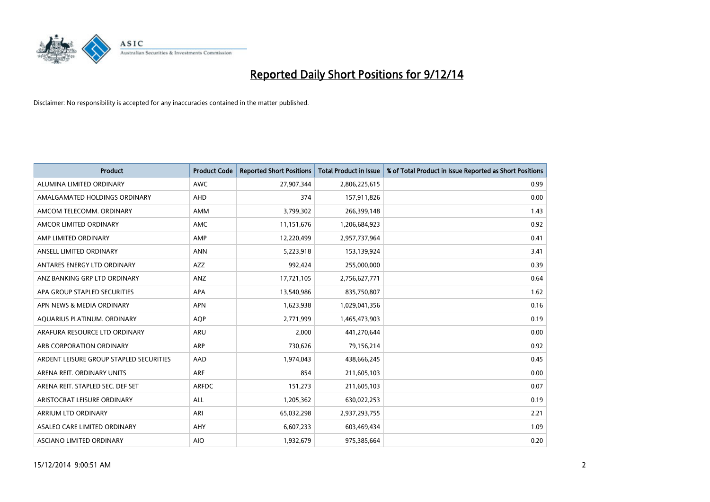

| <b>Product</b>                          | <b>Product Code</b> | <b>Reported Short Positions</b> | <b>Total Product in Issue</b> | % of Total Product in Issue Reported as Short Positions |
|-----------------------------------------|---------------------|---------------------------------|-------------------------------|---------------------------------------------------------|
| ALUMINA LIMITED ORDINARY                | <b>AWC</b>          | 27,907,344                      | 2,806,225,615                 | 0.99                                                    |
| AMALGAMATED HOLDINGS ORDINARY           | <b>AHD</b>          | 374                             | 157,911,826                   | 0.00                                                    |
| AMCOM TELECOMM. ORDINARY                | AMM                 | 3,799,302                       | 266,399,148                   | 1.43                                                    |
| AMCOR LIMITED ORDINARY                  | AMC                 | 11,151,676                      | 1,206,684,923                 | 0.92                                                    |
| AMP LIMITED ORDINARY                    | AMP                 | 12,220,499                      | 2,957,737,964                 | 0.41                                                    |
| ANSELL LIMITED ORDINARY                 | <b>ANN</b>          | 5,223,918                       | 153,139,924                   | 3.41                                                    |
| ANTARES ENERGY LTD ORDINARY             | AZZ                 | 992,424                         | 255,000,000                   | 0.39                                                    |
| ANZ BANKING GRP LTD ORDINARY            | ANZ                 | 17,721,105                      | 2,756,627,771                 | 0.64                                                    |
| APA GROUP STAPLED SECURITIES            | <b>APA</b>          | 13,540,986                      | 835,750,807                   | 1.62                                                    |
| APN NEWS & MEDIA ORDINARY               | <b>APN</b>          | 1,623,938                       | 1,029,041,356                 | 0.16                                                    |
| AQUARIUS PLATINUM. ORDINARY             | AQP                 | 2,771,999                       | 1,465,473,903                 | 0.19                                                    |
| ARAFURA RESOURCE LTD ORDINARY           | ARU                 | 2,000                           | 441,270,644                   | 0.00                                                    |
| ARB CORPORATION ORDINARY                | <b>ARP</b>          | 730,626                         | 79,156,214                    | 0.92                                                    |
| ARDENT LEISURE GROUP STAPLED SECURITIES | AAD                 | 1,974,043                       | 438,666,245                   | 0.45                                                    |
| ARENA REIT. ORDINARY UNITS              | <b>ARF</b>          | 854                             | 211,605,103                   | 0.00                                                    |
| ARENA REIT. STAPLED SEC. DEF SET        | <b>ARFDC</b>        | 151,273                         | 211,605,103                   | 0.07                                                    |
| ARISTOCRAT LEISURE ORDINARY             | ALL                 | 1,205,362                       | 630,022,253                   | 0.19                                                    |
| ARRIUM LTD ORDINARY                     | ARI                 | 65,032,298                      | 2,937,293,755                 | 2.21                                                    |
| ASALEO CARE LIMITED ORDINARY            | AHY                 | 6,607,233                       | 603,469,434                   | 1.09                                                    |
| ASCIANO LIMITED ORDINARY                | <b>AIO</b>          | 1,932,679                       | 975,385,664                   | 0.20                                                    |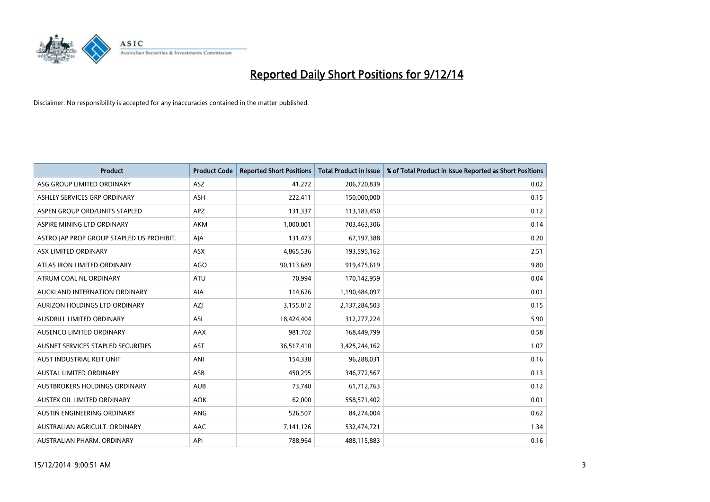

| <b>Product</b>                            | <b>Product Code</b> | <b>Reported Short Positions</b> | <b>Total Product in Issue</b> | % of Total Product in Issue Reported as Short Positions |
|-------------------------------------------|---------------------|---------------------------------|-------------------------------|---------------------------------------------------------|
| ASG GROUP LIMITED ORDINARY                | ASZ                 | 41,272                          | 206,720,839                   | 0.02                                                    |
| ASHLEY SERVICES GRP ORDINARY              | <b>ASH</b>          | 222,411                         | 150,000,000                   | 0.15                                                    |
| ASPEN GROUP ORD/UNITS STAPLED             | <b>APZ</b>          | 131,337                         | 113,183,450                   | 0.12                                                    |
| ASPIRE MINING LTD ORDINARY                | <b>AKM</b>          | 1.000.001                       | 703,463,306                   | 0.14                                                    |
| ASTRO JAP PROP GROUP STAPLED US PROHIBIT. | AJA                 | 131,473                         | 67,197,388                    | 0.20                                                    |
| ASX LIMITED ORDINARY                      | ASX                 | 4,865,536                       | 193,595,162                   | 2.51                                                    |
| ATLAS IRON LIMITED ORDINARY               | AGO                 | 90,113,689                      | 919,475,619                   | 9.80                                                    |
| ATRUM COAL NL ORDINARY                    | ATU                 | 70,994                          | 170,142,959                   | 0.04                                                    |
| AUCKLAND INTERNATION ORDINARY             | AIA                 | 114,626                         | 1,190,484,097                 | 0.01                                                    |
| AURIZON HOLDINGS LTD ORDINARY             | <b>AZI</b>          | 3,155,012                       | 2,137,284,503                 | 0.15                                                    |
| AUSDRILL LIMITED ORDINARY                 | ASL                 | 18,424,404                      | 312,277,224                   | 5.90                                                    |
| AUSENCO LIMITED ORDINARY                  | AAX                 | 981,702                         | 168,449,799                   | 0.58                                                    |
| AUSNET SERVICES STAPLED SECURITIES        | AST                 | 36,517,410                      | 3,425,244,162                 | 1.07                                                    |
| AUST INDUSTRIAL REIT UNIT                 | ANI                 | 154,338                         | 96,288,031                    | 0.16                                                    |
| AUSTAL LIMITED ORDINARY                   | ASB                 | 450,295                         | 346,772,567                   | 0.13                                                    |
| AUSTBROKERS HOLDINGS ORDINARY             | <b>AUB</b>          | 73,740                          | 61,712,763                    | 0.12                                                    |
| AUSTEX OIL LIMITED ORDINARY               | <b>AOK</b>          | 62,000                          | 558,571,402                   | 0.01                                                    |
| AUSTIN ENGINEERING ORDINARY               | ANG                 | 526,507                         | 84,274,004                    | 0.62                                                    |
| AUSTRALIAN AGRICULT, ORDINARY             | AAC                 | 7,141,126                       | 532,474,721                   | 1.34                                                    |
| AUSTRALIAN PHARM. ORDINARY                | API                 | 788,964                         | 488,115,883                   | 0.16                                                    |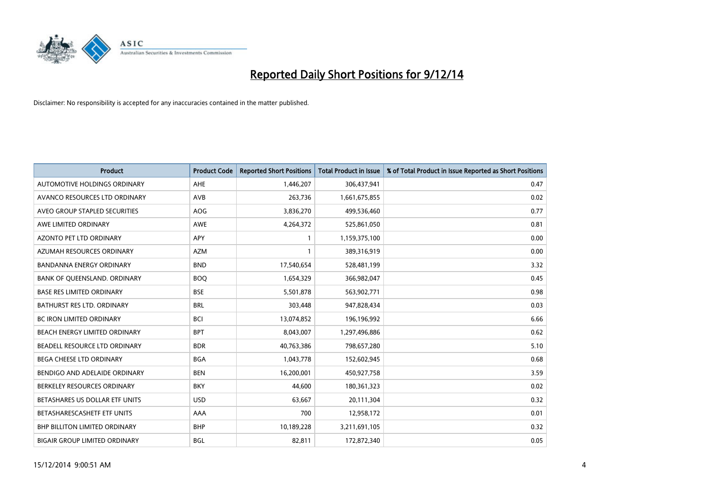

| <b>Product</b>                       | <b>Product Code</b> | <b>Reported Short Positions</b> | <b>Total Product in Issue</b> | % of Total Product in Issue Reported as Short Positions |
|--------------------------------------|---------------------|---------------------------------|-------------------------------|---------------------------------------------------------|
| <b>AUTOMOTIVE HOLDINGS ORDINARY</b>  | AHE                 | 1,446,207                       | 306,437,941                   | 0.47                                                    |
| AVANCO RESOURCES LTD ORDINARY        | AVB                 | 263,736                         | 1,661,675,855                 | 0.02                                                    |
| AVEO GROUP STAPLED SECURITIES        | <b>AOG</b>          | 3,836,270                       | 499,536,460                   | 0.77                                                    |
| AWE LIMITED ORDINARY                 | <b>AWE</b>          | 4,264,372                       | 525,861,050                   | 0.81                                                    |
| <b>AZONTO PET LTD ORDINARY</b>       | <b>APY</b>          | $\mathbf{1}$                    | 1,159,375,100                 | 0.00                                                    |
| AZUMAH RESOURCES ORDINARY            | <b>AZM</b>          | $\mathbf{1}$                    | 389,316,919                   | 0.00                                                    |
| <b>BANDANNA ENERGY ORDINARY</b>      | <b>BND</b>          | 17,540,654                      | 528,481,199                   | 3.32                                                    |
| BANK OF QUEENSLAND. ORDINARY         | <b>BOQ</b>          | 1,654,329                       | 366,982,047                   | 0.45                                                    |
| <b>BASE RES LIMITED ORDINARY</b>     | <b>BSE</b>          | 5,501,878                       | 563,902,771                   | 0.98                                                    |
| <b>BATHURST RES LTD. ORDINARY</b>    | <b>BRL</b>          | 303,448                         | 947,828,434                   | 0.03                                                    |
| BC IRON LIMITED ORDINARY             | BCI                 | 13,074,852                      | 196,196,992                   | 6.66                                                    |
| BEACH ENERGY LIMITED ORDINARY        | <b>BPT</b>          | 8,043,007                       | 1,297,496,886                 | 0.62                                                    |
| BEADELL RESOURCE LTD ORDINARY        | <b>BDR</b>          | 40,763,386                      | 798,657,280                   | 5.10                                                    |
| <b>BEGA CHEESE LTD ORDINARY</b>      | <b>BGA</b>          | 1,043,778                       | 152,602,945                   | 0.68                                                    |
| BENDIGO AND ADELAIDE ORDINARY        | <b>BEN</b>          | 16,200,001                      | 450,927,758                   | 3.59                                                    |
| BERKELEY RESOURCES ORDINARY          | <b>BKY</b>          | 44,600                          | 180,361,323                   | 0.02                                                    |
| BETASHARES US DOLLAR ETF UNITS       | <b>USD</b>          | 63,667                          | 20,111,304                    | 0.32                                                    |
| BETASHARESCASHETF ETF UNITS          | AAA                 | 700                             | 12,958,172                    | 0.01                                                    |
| <b>BHP BILLITON LIMITED ORDINARY</b> | <b>BHP</b>          | 10,189,228                      | 3,211,691,105                 | 0.32                                                    |
| <b>BIGAIR GROUP LIMITED ORDINARY</b> | <b>BGL</b>          | 82,811                          | 172,872,340                   | 0.05                                                    |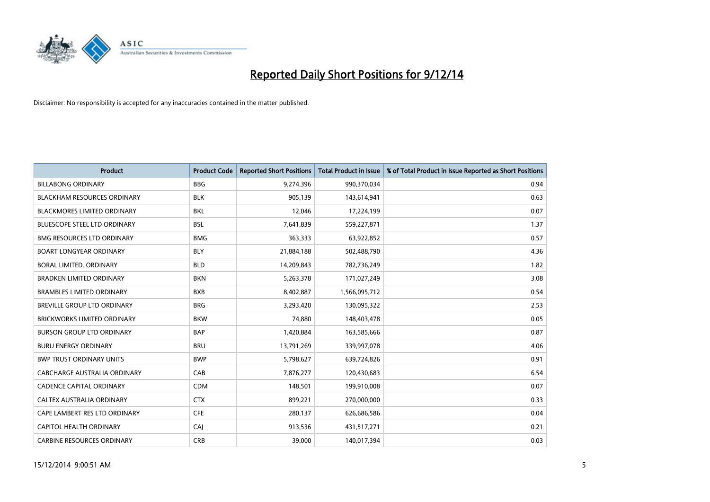

| <b>Product</b>                      | <b>Product Code</b> | <b>Reported Short Positions</b> | <b>Total Product in Issue</b> | % of Total Product in Issue Reported as Short Positions |
|-------------------------------------|---------------------|---------------------------------|-------------------------------|---------------------------------------------------------|
| <b>BILLABONG ORDINARY</b>           | <b>BBG</b>          | 9,274,396                       | 990,370,034                   | 0.94                                                    |
| <b>BLACKHAM RESOURCES ORDINARY</b>  | <b>BLK</b>          | 905,139                         | 143,614,941                   | 0.63                                                    |
| <b>BLACKMORES LIMITED ORDINARY</b>  | <b>BKL</b>          | 12,046                          | 17,224,199                    | 0.07                                                    |
| BLUESCOPE STEEL LTD ORDINARY        | <b>BSL</b>          | 7,641,839                       | 559,227,871                   | 1.37                                                    |
| <b>BMG RESOURCES LTD ORDINARY</b>   | <b>BMG</b>          | 363,333                         | 63,922,852                    | 0.57                                                    |
| <b>BOART LONGYEAR ORDINARY</b>      | <b>BLY</b>          | 21,884,188                      | 502,488,790                   | 4.36                                                    |
| BORAL LIMITED, ORDINARY             | <b>BLD</b>          | 14,209,843                      | 782,736,249                   | 1.82                                                    |
| <b>BRADKEN LIMITED ORDINARY</b>     | <b>BKN</b>          | 5,263,378                       | 171,027,249                   | 3.08                                                    |
| <b>BRAMBLES LIMITED ORDINARY</b>    | <b>BXB</b>          | 8,402,887                       | 1,566,095,712                 | 0.54                                                    |
| <b>BREVILLE GROUP LTD ORDINARY</b>  | <b>BRG</b>          | 3,293,420                       | 130,095,322                   | 2.53                                                    |
| <b>BRICKWORKS LIMITED ORDINARY</b>  | <b>BKW</b>          | 74,880                          | 148,403,478                   | 0.05                                                    |
| <b>BURSON GROUP LTD ORDINARY</b>    | <b>BAP</b>          | 1,420,884                       | 163,585,666                   | 0.87                                                    |
| <b>BURU ENERGY ORDINARY</b>         | <b>BRU</b>          | 13,791,269                      | 339,997,078                   | 4.06                                                    |
| <b>BWP TRUST ORDINARY UNITS</b>     | <b>BWP</b>          | 5,798,627                       | 639,724,826                   | 0.91                                                    |
| <b>CABCHARGE AUSTRALIA ORDINARY</b> | CAB                 | 7,876,277                       | 120,430,683                   | 6.54                                                    |
| <b>CADENCE CAPITAL ORDINARY</b>     | <b>CDM</b>          | 148,501                         | 199,910,008                   | 0.07                                                    |
| CALTEX AUSTRALIA ORDINARY           | <b>CTX</b>          | 899,221                         | 270,000,000                   | 0.33                                                    |
| CAPE LAMBERT RES LTD ORDINARY       | <b>CFE</b>          | 280,137                         | 626,686,586                   | 0.04                                                    |
| <b>CAPITOL HEALTH ORDINARY</b>      | CAJ                 | 913,536                         | 431,517,271                   | 0.21                                                    |
| <b>CARBINE RESOURCES ORDINARY</b>   | <b>CRB</b>          | 39,000                          | 140,017,394                   | 0.03                                                    |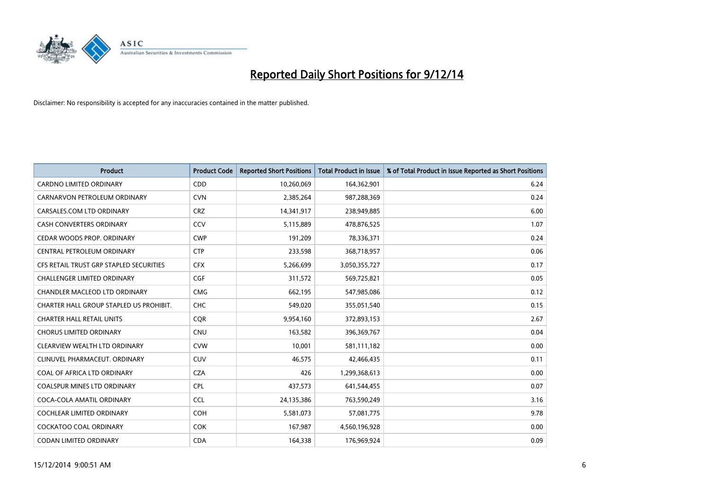

| <b>Product</b>                          | <b>Product Code</b> | <b>Reported Short Positions</b> | <b>Total Product in Issue</b> | % of Total Product in Issue Reported as Short Positions |
|-----------------------------------------|---------------------|---------------------------------|-------------------------------|---------------------------------------------------------|
| <b>CARDNO LIMITED ORDINARY</b>          | CDD                 | 10,260,069                      | 164,362,901                   | 6.24                                                    |
| CARNARVON PETROLEUM ORDINARY            | <b>CVN</b>          | 2,385,264                       | 987,288,369                   | 0.24                                                    |
| CARSALES.COM LTD ORDINARY               | <b>CRZ</b>          | 14,341,917                      | 238,949,885                   | 6.00                                                    |
| CASH CONVERTERS ORDINARY                | CCV                 | 5,115,889                       | 478,876,525                   | 1.07                                                    |
| CEDAR WOODS PROP. ORDINARY              | <b>CWP</b>          | 191,209                         | 78,336,371                    | 0.24                                                    |
| CENTRAL PETROLEUM ORDINARY              | <b>CTP</b>          | 233,598                         | 368,718,957                   | 0.06                                                    |
| CFS RETAIL TRUST GRP STAPLED SECURITIES | <b>CFX</b>          | 5,266,699                       | 3,050,355,727                 | 0.17                                                    |
| CHALLENGER LIMITED ORDINARY             | <b>CGF</b>          | 311,572                         | 569,725,821                   | 0.05                                                    |
| CHANDLER MACLEOD LTD ORDINARY           | <b>CMG</b>          | 662,195                         | 547,985,086                   | 0.12                                                    |
| CHARTER HALL GROUP STAPLED US PROHIBIT. | <b>CHC</b>          | 549,020                         | 355,051,540                   | 0.15                                                    |
| <b>CHARTER HALL RETAIL UNITS</b>        | <b>CQR</b>          | 9,954,160                       | 372,893,153                   | 2.67                                                    |
| <b>CHORUS LIMITED ORDINARY</b>          | <b>CNU</b>          | 163,582                         | 396,369,767                   | 0.04                                                    |
| CLEARVIEW WEALTH LTD ORDINARY           | <b>CVW</b>          | 10,001                          | 581,111,182                   | 0.00                                                    |
| CLINUVEL PHARMACEUT. ORDINARY           | <b>CUV</b>          | 46,575                          | 42,466,435                    | 0.11                                                    |
| COAL OF AFRICA LTD ORDINARY             | <b>CZA</b>          | 426                             | 1,299,368,613                 | 0.00                                                    |
| COALSPUR MINES LTD ORDINARY             | <b>CPL</b>          | 437,573                         | 641,544,455                   | 0.07                                                    |
| COCA-COLA AMATIL ORDINARY               | <b>CCL</b>          | 24,135,386                      | 763,590,249                   | 3.16                                                    |
| COCHLEAR LIMITED ORDINARY               | <b>COH</b>          | 5,581,073                       | 57,081,775                    | 9.78                                                    |
| <b>COCKATOO COAL ORDINARY</b>           | COK                 | 167,987                         | 4,560,196,928                 | 0.00                                                    |
| CODAN LIMITED ORDINARY                  | <b>CDA</b>          | 164,338                         | 176,969,924                   | 0.09                                                    |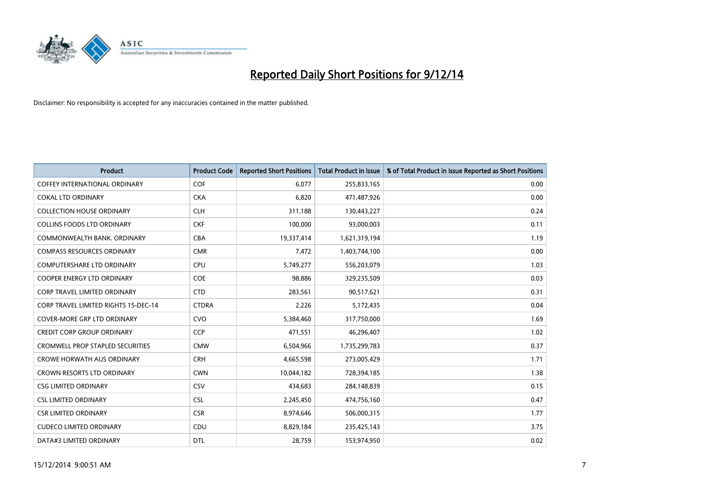

| <b>Product</b>                              | <b>Product Code</b> | <b>Reported Short Positions</b> | <b>Total Product in Issue</b> | % of Total Product in Issue Reported as Short Positions |
|---------------------------------------------|---------------------|---------------------------------|-------------------------------|---------------------------------------------------------|
| <b>COFFEY INTERNATIONAL ORDINARY</b>        | <b>COF</b>          | 6.077                           | 255,833,165                   | 0.00                                                    |
| COKAL LTD ORDINARY                          | <b>CKA</b>          | 6,820                           | 471,487,926                   | 0.00                                                    |
| <b>COLLECTION HOUSE ORDINARY</b>            | <b>CLH</b>          | 311,188                         | 130,443,227                   | 0.24                                                    |
| <b>COLLINS FOODS LTD ORDINARY</b>           | <b>CKF</b>          | 100,000                         | 93,000,003                    | 0.11                                                    |
| COMMONWEALTH BANK, ORDINARY                 | <b>CBA</b>          | 19,337,414                      | 1,621,319,194                 | 1.19                                                    |
| <b>COMPASS RESOURCES ORDINARY</b>           | <b>CMR</b>          | 7,472                           | 1,403,744,100                 | 0.00                                                    |
| <b>COMPUTERSHARE LTD ORDINARY</b>           | <b>CPU</b>          | 5,749,277                       | 556,203,079                   | 1.03                                                    |
| <b>COOPER ENERGY LTD ORDINARY</b>           | <b>COE</b>          | 98,886                          | 329,235,509                   | 0.03                                                    |
| <b>CORP TRAVEL LIMITED ORDINARY</b>         | <b>CTD</b>          | 283,561                         | 90,517,621                    | 0.31                                                    |
| <b>CORP TRAVEL LIMITED RIGHTS 15-DEC-14</b> | <b>CTDRA</b>        | 2,226                           | 5,172,435                     | 0.04                                                    |
| <b>COVER-MORE GRP LTD ORDINARY</b>          | <b>CVO</b>          | 5,384,460                       | 317,750,000                   | 1.69                                                    |
| <b>CREDIT CORP GROUP ORDINARY</b>           | <b>CCP</b>          | 471,551                         | 46,296,407                    | 1.02                                                    |
| <b>CROMWELL PROP STAPLED SECURITIES</b>     | <b>CMW</b>          | 6,504,966                       | 1,735,299,783                 | 0.37                                                    |
| <b>CROWE HORWATH AUS ORDINARY</b>           | <b>CRH</b>          | 4,665,598                       | 273,005,429                   | 1.71                                                    |
| <b>CROWN RESORTS LTD ORDINARY</b>           | <b>CWN</b>          | 10,044,182                      | 728,394,185                   | 1.38                                                    |
| <b>CSG LIMITED ORDINARY</b>                 | CSV                 | 434,683                         | 284,148,839                   | 0.15                                                    |
| <b>CSL LIMITED ORDINARY</b>                 | <b>CSL</b>          | 2,245,450                       | 474,756,160                   | 0.47                                                    |
| <b>CSR LIMITED ORDINARY</b>                 | <b>CSR</b>          | 8,974,646                       | 506,000,315                   | 1.77                                                    |
| <b>CUDECO LIMITED ORDINARY</b>              | CDU                 | 8,829,184                       | 235,425,143                   | 3.75                                                    |
| DATA#3 LIMITED ORDINARY                     | <b>DTL</b>          | 28,759                          | 153,974,950                   | 0.02                                                    |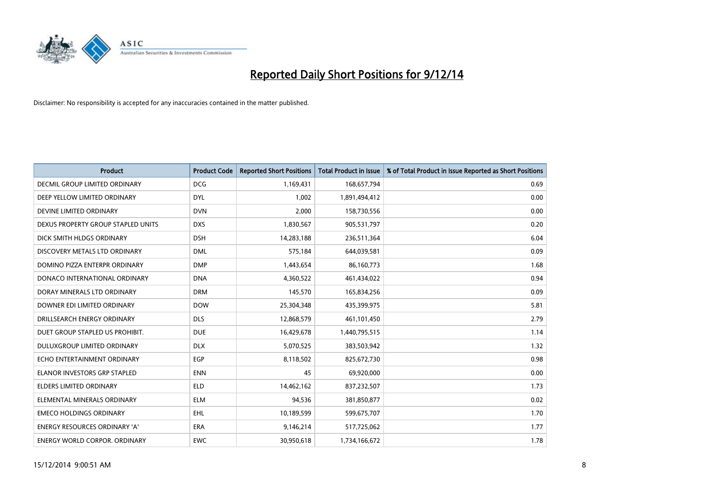

| <b>Product</b>                       | <b>Product Code</b> | <b>Reported Short Positions</b> | <b>Total Product in Issue</b> | % of Total Product in Issue Reported as Short Positions |
|--------------------------------------|---------------------|---------------------------------|-------------------------------|---------------------------------------------------------|
| <b>DECMIL GROUP LIMITED ORDINARY</b> | <b>DCG</b>          | 1,169,431                       | 168,657,794                   | 0.69                                                    |
| DEEP YELLOW LIMITED ORDINARY         | <b>DYL</b>          | 1,002                           | 1,891,494,412                 | 0.00                                                    |
| DEVINE LIMITED ORDINARY              | <b>DVN</b>          | 2,000                           | 158,730,556                   | 0.00                                                    |
| DEXUS PROPERTY GROUP STAPLED UNITS   | <b>DXS</b>          | 1,830,567                       | 905,531,797                   | 0.20                                                    |
| DICK SMITH HLDGS ORDINARY            | <b>DSH</b>          | 14,283,188                      | 236,511,364                   | 6.04                                                    |
| DISCOVERY METALS LTD ORDINARY        | <b>DML</b>          | 575,184                         | 644,039,581                   | 0.09                                                    |
| DOMINO PIZZA ENTERPR ORDINARY        | <b>DMP</b>          | 1,443,654                       | 86,160,773                    | 1.68                                                    |
| DONACO INTERNATIONAL ORDINARY        | <b>DNA</b>          | 4,360,522                       | 461,434,022                   | 0.94                                                    |
| DORAY MINERALS LTD ORDINARY          | <b>DRM</b>          | 145,570                         | 165,834,256                   | 0.09                                                    |
| DOWNER EDI LIMITED ORDINARY          | <b>DOW</b>          | 25,304,348                      | 435,399,975                   | 5.81                                                    |
| DRILLSEARCH ENERGY ORDINARY          | <b>DLS</b>          | 12,868,579                      | 461,101,450                   | 2.79                                                    |
| DUET GROUP STAPLED US PROHIBIT.      | <b>DUE</b>          | 16,429,678                      | 1,440,795,515                 | 1.14                                                    |
| DULUXGROUP LIMITED ORDINARY          | <b>DLX</b>          | 5,070,525                       | 383,503,942                   | 1.32                                                    |
| ECHO ENTERTAINMENT ORDINARY          | <b>EGP</b>          | 8,118,502                       | 825,672,730                   | 0.98                                                    |
| <b>ELANOR INVESTORS GRP STAPLED</b>  | <b>ENN</b>          | 45                              | 69,920,000                    | 0.00                                                    |
| ELDERS LIMITED ORDINARY              | <b>ELD</b>          | 14,462,162                      | 837,232,507                   | 1.73                                                    |
| ELEMENTAL MINERALS ORDINARY          | <b>ELM</b>          | 94,536                          | 381,850,877                   | 0.02                                                    |
| <b>EMECO HOLDINGS ORDINARY</b>       | <b>EHL</b>          | 10,189,599                      | 599,675,707                   | 1.70                                                    |
| <b>ENERGY RESOURCES ORDINARY 'A'</b> | <b>ERA</b>          | 9,146,214                       | 517,725,062                   | 1.77                                                    |
| <b>ENERGY WORLD CORPOR, ORDINARY</b> | <b>EWC</b>          | 30,950,618                      | 1,734,166,672                 | 1.78                                                    |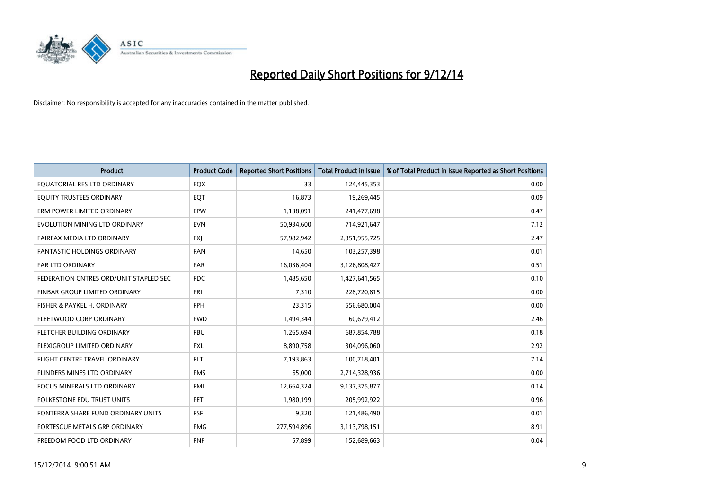

| <b>Product</b>                         | <b>Product Code</b> | <b>Reported Short Positions</b> | <b>Total Product in Issue</b> | % of Total Product in Issue Reported as Short Positions |
|----------------------------------------|---------------------|---------------------------------|-------------------------------|---------------------------------------------------------|
| EQUATORIAL RES LTD ORDINARY            | EQX                 | 33                              | 124,445,353                   | 0.00                                                    |
| EQUITY TRUSTEES ORDINARY               | EQT                 | 16,873                          | 19,269,445                    | 0.09                                                    |
| ERM POWER LIMITED ORDINARY             | <b>EPW</b>          | 1,138,091                       | 241,477,698                   | 0.47                                                    |
| EVOLUTION MINING LTD ORDINARY          | <b>EVN</b>          | 50,934,600                      | 714,921,647                   | 7.12                                                    |
| FAIRFAX MEDIA LTD ORDINARY             | <b>FXI</b>          | 57,982,942                      | 2,351,955,725                 | 2.47                                                    |
| <b>FANTASTIC HOLDINGS ORDINARY</b>     | <b>FAN</b>          | 14,650                          | 103,257,398                   | 0.01                                                    |
| <b>FAR LTD ORDINARY</b>                | <b>FAR</b>          | 16,036,404                      | 3,126,808,427                 | 0.51                                                    |
| FEDERATION CNTRES ORD/UNIT STAPLED SEC | FDC                 | 1,485,650                       | 1,427,641,565                 | 0.10                                                    |
| FINBAR GROUP LIMITED ORDINARY          | <b>FRI</b>          | 7,310                           | 228,720,815                   | 0.00                                                    |
| FISHER & PAYKEL H. ORDINARY            | <b>FPH</b>          | 23,315                          | 556,680,004                   | 0.00                                                    |
| FLEETWOOD CORP ORDINARY                | <b>FWD</b>          | 1,494,344                       | 60,679,412                    | 2.46                                                    |
| FLETCHER BUILDING ORDINARY             | <b>FBU</b>          | 1,265,694                       | 687,854,788                   | 0.18                                                    |
| FLEXIGROUP LIMITED ORDINARY            | FXL                 | 8,890,758                       | 304,096,060                   | 2.92                                                    |
| FLIGHT CENTRE TRAVEL ORDINARY          | <b>FLT</b>          | 7,193,863                       | 100,718,401                   | 7.14                                                    |
| FLINDERS MINES LTD ORDINARY            | <b>FMS</b>          | 65,000                          | 2,714,328,936                 | 0.00                                                    |
| <b>FOCUS MINERALS LTD ORDINARY</b>     | <b>FML</b>          | 12,664,324                      | 9,137,375,877                 | 0.14                                                    |
| <b>FOLKESTONE EDU TRUST UNITS</b>      | FET                 | 1,980,199                       | 205,992,922                   | 0.96                                                    |
| FONTERRA SHARE FUND ORDINARY UNITS     | <b>FSF</b>          | 9,320                           | 121,486,490                   | 0.01                                                    |
| FORTESCUE METALS GRP ORDINARY          | <b>FMG</b>          | 277,594,896                     | 3,113,798,151                 | 8.91                                                    |
| FREEDOM FOOD LTD ORDINARY              | <b>FNP</b>          | 57,899                          | 152,689,663                   | 0.04                                                    |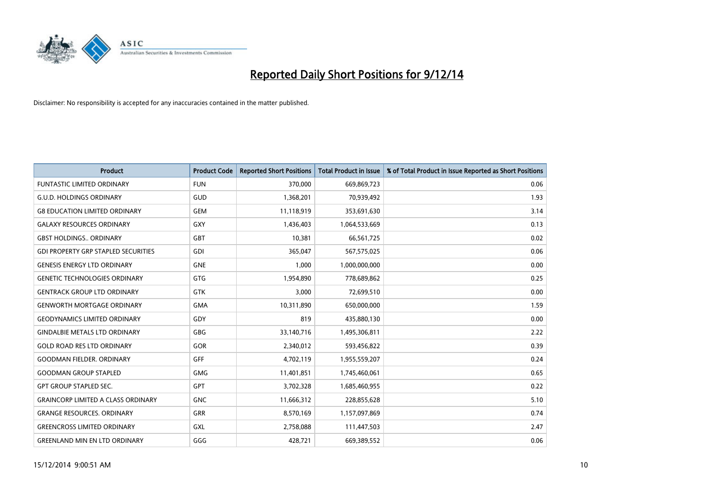

| <b>Product</b>                             | <b>Product Code</b> | <b>Reported Short Positions</b> | <b>Total Product in Issue</b> | % of Total Product in Issue Reported as Short Positions |
|--------------------------------------------|---------------------|---------------------------------|-------------------------------|---------------------------------------------------------|
| <b>FUNTASTIC LIMITED ORDINARY</b>          | <b>FUN</b>          | 370,000                         | 669,869,723                   | 0.06                                                    |
| <b>G.U.D. HOLDINGS ORDINARY</b>            | GUD                 | 1,368,201                       | 70,939,492                    | 1.93                                                    |
| <b>G8 EDUCATION LIMITED ORDINARY</b>       | <b>GEM</b>          | 11,118,919                      | 353,691,630                   | 3.14                                                    |
| <b>GALAXY RESOURCES ORDINARY</b>           | GXY                 | 1,436,403                       | 1,064,533,669                 | 0.13                                                    |
| <b>GBST HOLDINGS., ORDINARY</b>            | <b>GBT</b>          | 10,381                          | 66,561,725                    | 0.02                                                    |
| <b>GDI PROPERTY GRP STAPLED SECURITIES</b> | <b>GDI</b>          | 365,047                         | 567,575,025                   | 0.06                                                    |
| <b>GENESIS ENERGY LTD ORDINARY</b>         | <b>GNE</b>          | 1,000                           | 1,000,000,000                 | 0.00                                                    |
| <b>GENETIC TECHNOLOGIES ORDINARY</b>       | GTG                 | 1,954,890                       | 778,689,862                   | 0.25                                                    |
| <b>GENTRACK GROUP LTD ORDINARY</b>         | <b>GTK</b>          | 3,000                           | 72,699,510                    | 0.00                                                    |
| <b>GENWORTH MORTGAGE ORDINARY</b>          | <b>GMA</b>          | 10,311,890                      | 650,000,000                   | 1.59                                                    |
| <b>GEODYNAMICS LIMITED ORDINARY</b>        | GDY                 | 819                             | 435,880,130                   | 0.00                                                    |
| <b>GINDALBIE METALS LTD ORDINARY</b>       | GBG                 | 33,140,716                      | 1,495,306,811                 | 2.22                                                    |
| <b>GOLD ROAD RES LTD ORDINARY</b>          | GOR                 | 2,340,012                       | 593,456,822                   | 0.39                                                    |
| <b>GOODMAN FIELDER, ORDINARY</b>           | GFF                 | 4,702,119                       | 1,955,559,207                 | 0.24                                                    |
| <b>GOODMAN GROUP STAPLED</b>               | <b>GMG</b>          | 11,401,851                      | 1,745,460,061                 | 0.65                                                    |
| <b>GPT GROUP STAPLED SEC.</b>              | <b>GPT</b>          | 3,702,328                       | 1,685,460,955                 | 0.22                                                    |
| <b>GRAINCORP LIMITED A CLASS ORDINARY</b>  | <b>GNC</b>          | 11,666,312                      | 228,855,628                   | 5.10                                                    |
| <b>GRANGE RESOURCES. ORDINARY</b>          | GRR                 | 8,570,169                       | 1,157,097,869                 | 0.74                                                    |
| <b>GREENCROSS LIMITED ORDINARY</b>         | <b>GXL</b>          | 2,758,088                       | 111,447,503                   | 2.47                                                    |
| <b>GREENLAND MIN EN LTD ORDINARY</b>       | GGG                 | 428,721                         | 669,389,552                   | 0.06                                                    |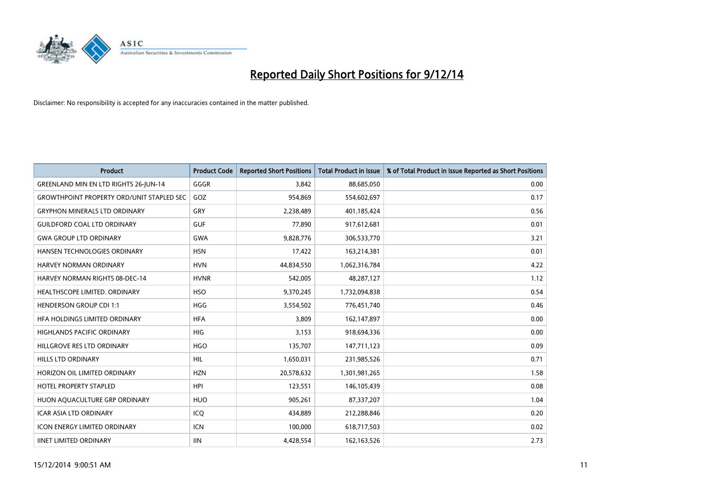

| <b>Product</b>                                   | <b>Product Code</b> | <b>Reported Short Positions</b> | <b>Total Product in Issue</b> | % of Total Product in Issue Reported as Short Positions |
|--------------------------------------------------|---------------------|---------------------------------|-------------------------------|---------------------------------------------------------|
| GREENLAND MIN EN LTD RIGHTS 26-JUN-14            | GGGR                | 3.842                           | 88,685,050                    | 0.00                                                    |
| <b>GROWTHPOINT PROPERTY ORD/UNIT STAPLED SEC</b> | GOZ                 | 954,869                         | 554,602,697                   | 0.17                                                    |
| <b>GRYPHON MINERALS LTD ORDINARY</b>             | GRY                 | 2,238,489                       | 401,185,424                   | 0.56                                                    |
| <b>GUILDFORD COAL LTD ORDINARY</b>               | <b>GUF</b>          | 77,890                          | 917,612,681                   | 0.01                                                    |
| <b>GWA GROUP LTD ORDINARY</b>                    | <b>GWA</b>          | 9,828,776                       | 306,533,770                   | 3.21                                                    |
| HANSEN TECHNOLOGIES ORDINARY                     | <b>HSN</b>          | 17,422                          | 163,214,381                   | 0.01                                                    |
| <b>HARVEY NORMAN ORDINARY</b>                    | <b>HVN</b>          | 44,834,550                      | 1,062,316,784                 | 4.22                                                    |
| <b>HARVEY NORMAN RIGHTS 08-DEC-14</b>            | <b>HVNR</b>         | 542,005                         | 48,287,127                    | 1.12                                                    |
| HEALTHSCOPE LIMITED. ORDINARY                    | <b>HSO</b>          | 9,370,245                       | 1,732,094,838                 | 0.54                                                    |
| <b>HENDERSON GROUP CDI 1:1</b>                   | <b>HGG</b>          | 3,554,502                       | 776,451,740                   | 0.46                                                    |
| HFA HOLDINGS LIMITED ORDINARY                    | <b>HFA</b>          | 3,809                           | 162,147,897                   | 0.00                                                    |
| <b>HIGHLANDS PACIFIC ORDINARY</b>                | <b>HIG</b>          | 3,153                           | 918,694,336                   | 0.00                                                    |
| HILLGROVE RES LTD ORDINARY                       | <b>HGO</b>          | 135,707                         | 147,711,123                   | 0.09                                                    |
| <b>HILLS LTD ORDINARY</b>                        | HIL                 | 1,650,031                       | 231,985,526                   | 0.71                                                    |
| HORIZON OIL LIMITED ORDINARY                     | <b>HZN</b>          | 20,578,632                      | 1,301,981,265                 | 1.58                                                    |
| HOTEL PROPERTY STAPLED                           | <b>HPI</b>          | 123,551                         | 146, 105, 439                 | 0.08                                                    |
| HUON AQUACULTURE GRP ORDINARY                    | <b>HUO</b>          | 905,261                         | 87,337,207                    | 1.04                                                    |
| <b>ICAR ASIA LTD ORDINARY</b>                    | ICQ                 | 434,889                         | 212,288,846                   | 0.20                                                    |
| <b>ICON ENERGY LIMITED ORDINARY</b>              | ICN                 | 100,000                         | 618,717,503                   | 0.02                                                    |
| <b>IINET LIMITED ORDINARY</b>                    | <b>IIN</b>          | 4,428,554                       | 162, 163, 526                 | 2.73                                                    |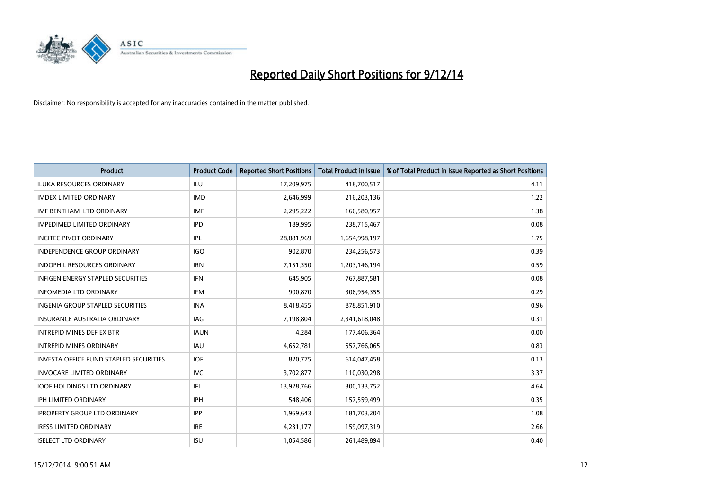

| <b>Product</b>                                | <b>Product Code</b> | <b>Reported Short Positions</b> | <b>Total Product in Issue</b> | % of Total Product in Issue Reported as Short Positions |
|-----------------------------------------------|---------------------|---------------------------------|-------------------------------|---------------------------------------------------------|
| <b>ILUKA RESOURCES ORDINARY</b>               | ILU                 | 17,209,975                      | 418,700,517                   | 4.11                                                    |
| <b>IMDEX LIMITED ORDINARY</b>                 | <b>IMD</b>          | 2,646,999                       | 216,203,136                   | 1.22                                                    |
| IMF BENTHAM LTD ORDINARY                      | <b>IMF</b>          | 2,295,222                       | 166,580,957                   | 1.38                                                    |
| <b>IMPEDIMED LIMITED ORDINARY</b>             | <b>IPD</b>          | 189,995                         | 238,715,467                   | 0.08                                                    |
| <b>INCITEC PIVOT ORDINARY</b>                 | IPL                 | 28,881,969                      | 1,654,998,197                 | 1.75                                                    |
| <b>INDEPENDENCE GROUP ORDINARY</b>            | <b>IGO</b>          | 902,870                         | 234,256,573                   | 0.39                                                    |
| <b>INDOPHIL RESOURCES ORDINARY</b>            | <b>IRN</b>          | 7,151,350                       | 1,203,146,194                 | 0.59                                                    |
| <b>INFIGEN ENERGY STAPLED SECURITIES</b>      | <b>IFN</b>          | 645,905                         | 767,887,581                   | 0.08                                                    |
| <b>INFOMEDIA LTD ORDINARY</b>                 | <b>IFM</b>          | 900,870                         | 306,954,355                   | 0.29                                                    |
| <b>INGENIA GROUP STAPLED SECURITIES</b>       | <b>INA</b>          | 8,418,455                       | 878,851,910                   | 0.96                                                    |
| <b>INSURANCE AUSTRALIA ORDINARY</b>           | <b>IAG</b>          | 7,198,804                       | 2,341,618,048                 | 0.31                                                    |
| <b>INTREPID MINES DEF EX BTR</b>              | <b>IAUN</b>         | 4,284                           | 177,406,364                   | 0.00                                                    |
| <b>INTREPID MINES ORDINARY</b>                | <b>IAU</b>          | 4,652,781                       | 557,766,065                   | 0.83                                                    |
| <b>INVESTA OFFICE FUND STAPLED SECURITIES</b> | <b>IOF</b>          | 820,775                         | 614,047,458                   | 0.13                                                    |
| <b>INVOCARE LIMITED ORDINARY</b>              | <b>IVC</b>          | 3,702,877                       | 110,030,298                   | 3.37                                                    |
| <b>IOOF HOLDINGS LTD ORDINARY</b>             | IFL                 | 13,928,766                      | 300,133,752                   | 4.64                                                    |
| <b>IPH LIMITED ORDINARY</b>                   | <b>IPH</b>          | 548,406                         | 157,559,499                   | 0.35                                                    |
| <b>IPROPERTY GROUP LTD ORDINARY</b>           | <b>IPP</b>          | 1,969,643                       | 181,703,204                   | 1.08                                                    |
| <b>IRESS LIMITED ORDINARY</b>                 | <b>IRE</b>          | 4,231,177                       | 159,097,319                   | 2.66                                                    |
| <b>ISELECT LTD ORDINARY</b>                   | <b>ISU</b>          | 1,054,586                       | 261,489,894                   | 0.40                                                    |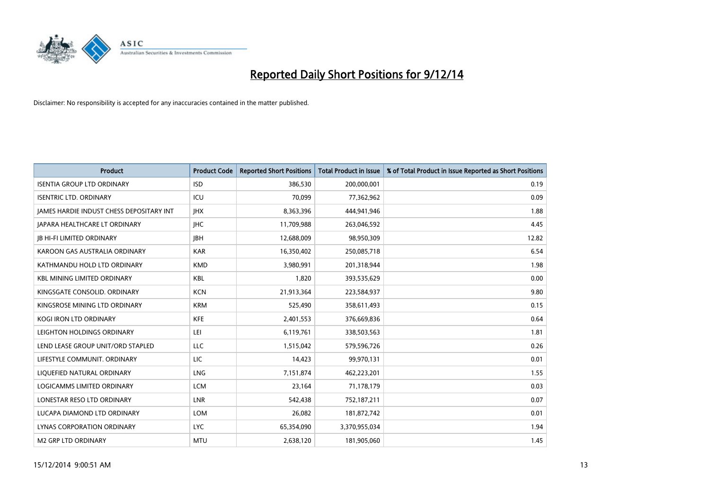

| <b>Product</b>                           | <b>Product Code</b> | <b>Reported Short Positions</b> | <b>Total Product in Issue</b> | % of Total Product in Issue Reported as Short Positions |
|------------------------------------------|---------------------|---------------------------------|-------------------------------|---------------------------------------------------------|
| <b>ISENTIA GROUP LTD ORDINARY</b>        | <b>ISD</b>          | 386,530                         | 200,000,001                   | 0.19                                                    |
| <b>ISENTRIC LTD. ORDINARY</b>            | ICU                 | 70,099                          | 77,362,962                    | 0.09                                                    |
| JAMES HARDIE INDUST CHESS DEPOSITARY INT | <b>IHX</b>          | 8,363,396                       | 444,941,946                   | 1.88                                                    |
| <b>JAPARA HEALTHCARE LT ORDINARY</b>     | <b>IHC</b>          | 11,709,988                      | 263,046,592                   | 4.45                                                    |
| <b>JB HI-FI LIMITED ORDINARY</b>         | <b>IBH</b>          | 12,688,009                      | 98,950,309                    | 12.82                                                   |
| KAROON GAS AUSTRALIA ORDINARY            | <b>KAR</b>          | 16,350,402                      | 250,085,718                   | 6.54                                                    |
| KATHMANDU HOLD LTD ORDINARY              | <b>KMD</b>          | 3,980,991                       | 201,318,944                   | 1.98                                                    |
| <b>KBL MINING LIMITED ORDINARY</b>       | <b>KBL</b>          | 1,820                           | 393,535,629                   | 0.00                                                    |
| KINGSGATE CONSOLID. ORDINARY             | <b>KCN</b>          | 21,913,364                      | 223,584,937                   | 9.80                                                    |
| KINGSROSE MINING LTD ORDINARY            | <b>KRM</b>          | 525,490                         | 358,611,493                   | 0.15                                                    |
| KOGI IRON LTD ORDINARY                   | KFE                 | 2,401,553                       | 376,669,836                   | 0.64                                                    |
| LEIGHTON HOLDINGS ORDINARY               | LEI                 | 6,119,761                       | 338,503,563                   | 1.81                                                    |
| LEND LEASE GROUP UNIT/ORD STAPLED        | LLC                 | 1,515,042                       | 579,596,726                   | 0.26                                                    |
| LIFESTYLE COMMUNIT, ORDINARY             | LIC                 | 14,423                          | 99,970,131                    | 0.01                                                    |
| LIQUEFIED NATURAL ORDINARY               | <b>LNG</b>          | 7,151,874                       | 462,223,201                   | 1.55                                                    |
| LOGICAMMS LIMITED ORDINARY               | <b>LCM</b>          | 23,164                          | 71,178,179                    | 0.03                                                    |
| LONESTAR RESO LTD ORDINARY               | <b>LNR</b>          | 542,438                         | 752,187,211                   | 0.07                                                    |
| LUCAPA DIAMOND LTD ORDINARY              | <b>LOM</b>          | 26,082                          | 181,872,742                   | 0.01                                                    |
| LYNAS CORPORATION ORDINARY               | <b>LYC</b>          | 65,354,090                      | 3,370,955,034                 | 1.94                                                    |
| <b>M2 GRP LTD ORDINARY</b>               | <b>MTU</b>          | 2,638,120                       | 181,905,060                   | 1.45                                                    |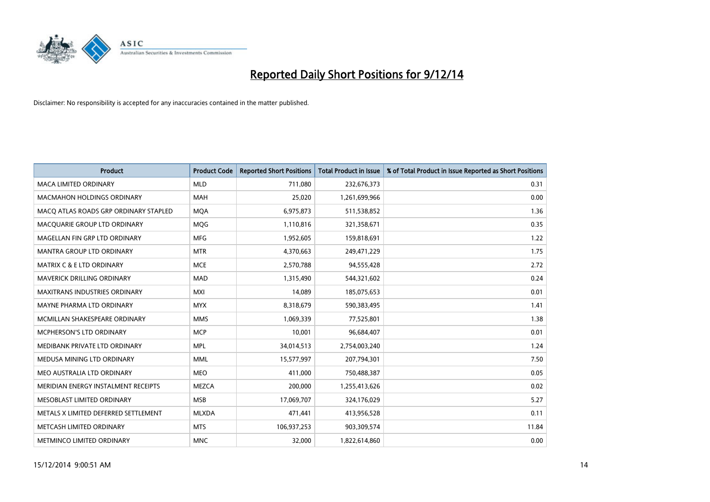

| <b>Product</b>                        | <b>Product Code</b> | <b>Reported Short Positions</b> | <b>Total Product in Issue</b> | % of Total Product in Issue Reported as Short Positions |
|---------------------------------------|---------------------|---------------------------------|-------------------------------|---------------------------------------------------------|
| <b>MACA LIMITED ORDINARY</b>          | <b>MLD</b>          | 711,080                         | 232,676,373                   | 0.31                                                    |
| <b>MACMAHON HOLDINGS ORDINARY</b>     | MAH                 | 25,020                          | 1,261,699,966                 | 0.00                                                    |
| MACO ATLAS ROADS GRP ORDINARY STAPLED | <b>MQA</b>          | 6,975,873                       | 511,538,852                   | 1.36                                                    |
| MACQUARIE GROUP LTD ORDINARY          | <b>MQG</b>          | 1,110,816                       | 321,358,671                   | 0.35                                                    |
| MAGELLAN FIN GRP LTD ORDINARY         | <b>MFG</b>          | 1,952,605                       | 159,818,691                   | 1.22                                                    |
| <b>MANTRA GROUP LTD ORDINARY</b>      | <b>MTR</b>          | 4,370,663                       | 249,471,229                   | 1.75                                                    |
| <b>MATRIX C &amp; E LTD ORDINARY</b>  | <b>MCE</b>          | 2,570,788                       | 94,555,428                    | 2.72                                                    |
| <b>MAVERICK DRILLING ORDINARY</b>     | <b>MAD</b>          | 1,315,490                       | 544,321,602                   | 0.24                                                    |
| <b>MAXITRANS INDUSTRIES ORDINARY</b>  | <b>MXI</b>          | 14,089                          | 185,075,653                   | 0.01                                                    |
| MAYNE PHARMA LTD ORDINARY             | <b>MYX</b>          | 8,318,679                       | 590,383,495                   | 1.41                                                    |
| MCMILLAN SHAKESPEARE ORDINARY         | <b>MMS</b>          | 1,069,339                       | 77,525,801                    | 1.38                                                    |
| MCPHERSON'S LTD ORDINARY              | <b>MCP</b>          | 10,001                          | 96,684,407                    | 0.01                                                    |
| MEDIBANK PRIVATE LTD ORDINARY         | <b>MPL</b>          | 34,014,513                      | 2,754,003,240                 | 1.24                                                    |
| MEDUSA MINING LTD ORDINARY            | <b>MML</b>          | 15,577,997                      | 207,794,301                   | 7.50                                                    |
| MEO AUSTRALIA LTD ORDINARY            | <b>MEO</b>          | 411,000                         | 750,488,387                   | 0.05                                                    |
| MERIDIAN ENERGY INSTALMENT RECEIPTS   | <b>MEZCA</b>        | 200,000                         | 1,255,413,626                 | 0.02                                                    |
| MESOBLAST LIMITED ORDINARY            | <b>MSB</b>          | 17,069,707                      | 324,176,029                   | 5.27                                                    |
| METALS X LIMITED DEFERRED SETTLEMENT  | <b>MLXDA</b>        | 471,441                         | 413,956,528                   | 0.11                                                    |
| METCASH LIMITED ORDINARY              | <b>MTS</b>          | 106,937,253                     | 903,309,574                   | 11.84                                                   |
| METMINCO LIMITED ORDINARY             | <b>MNC</b>          | 32,000                          | 1,822,614,860                 | 0.00                                                    |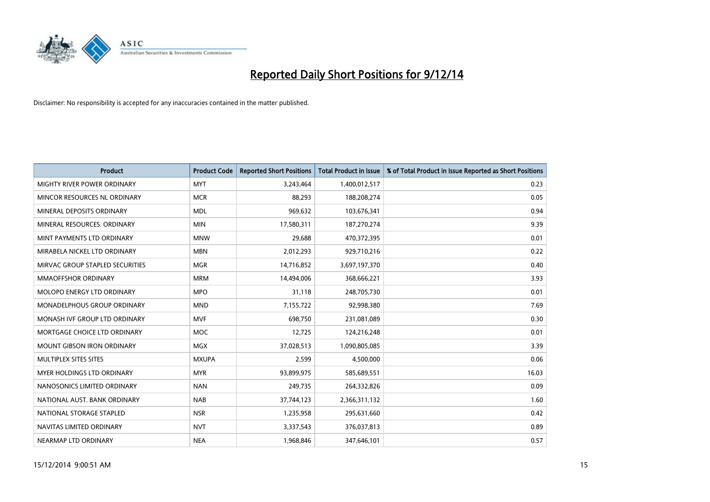

| <b>Product</b>                    | <b>Product Code</b> | <b>Reported Short Positions</b> | <b>Total Product in Issue</b> | % of Total Product in Issue Reported as Short Positions |
|-----------------------------------|---------------------|---------------------------------|-------------------------------|---------------------------------------------------------|
| MIGHTY RIVER POWER ORDINARY       | <b>MYT</b>          | 3,243,464                       | 1,400,012,517                 | 0.23                                                    |
| MINCOR RESOURCES NL ORDINARY      | <b>MCR</b>          | 88,293                          | 188,208,274                   | 0.05                                                    |
| MINERAL DEPOSITS ORDINARY         | <b>MDL</b>          | 969,632                         | 103,676,341                   | 0.94                                                    |
| MINERAL RESOURCES. ORDINARY       | <b>MIN</b>          | 17,580,311                      | 187,270,274                   | 9.39                                                    |
| MINT PAYMENTS LTD ORDINARY        | <b>MNW</b>          | 29,688                          | 470,372,395                   | 0.01                                                    |
| MIRABELA NICKEL LTD ORDINARY      | <b>MBN</b>          | 2,012,293                       | 929,710,216                   | 0.22                                                    |
| MIRVAC GROUP STAPLED SECURITIES   | <b>MGR</b>          | 14,716,852                      | 3,697,197,370                 | 0.40                                                    |
| MMAOFFSHOR ORDINARY               | <b>MRM</b>          | 14,494,006                      | 368,666,221                   | 3.93                                                    |
| MOLOPO ENERGY LTD ORDINARY        | <b>MPO</b>          | 31,118                          | 248,705,730                   | 0.01                                                    |
| MONADELPHOUS GROUP ORDINARY       | <b>MND</b>          | 7,155,722                       | 92,998,380                    | 7.69                                                    |
| MONASH IVF GROUP LTD ORDINARY     | <b>MVF</b>          | 698,750                         | 231,081,089                   | 0.30                                                    |
| MORTGAGE CHOICE LTD ORDINARY      | <b>MOC</b>          | 12,725                          | 124,216,248                   | 0.01                                                    |
| MOUNT GIBSON IRON ORDINARY        | MGX                 | 37,028,513                      | 1,090,805,085                 | 3.39                                                    |
| MULTIPLEX SITES SITES             | <b>MXUPA</b>        | 2,599                           | 4,500,000                     | 0.06                                                    |
| <b>MYER HOLDINGS LTD ORDINARY</b> | <b>MYR</b>          | 93,899,975                      | 585,689,551                   | 16.03                                                   |
| NANOSONICS LIMITED ORDINARY       | <b>NAN</b>          | 249,735                         | 264,332,826                   | 0.09                                                    |
| NATIONAL AUST. BANK ORDINARY      | <b>NAB</b>          | 37,744,123                      | 2,366,311,132                 | 1.60                                                    |
| NATIONAL STORAGE STAPLED          | <b>NSR</b>          | 1,235,958                       | 295,631,660                   | 0.42                                                    |
| NAVITAS LIMITED ORDINARY          | <b>NVT</b>          | 3,337,543                       | 376,037,813                   | 0.89                                                    |
| NEARMAP LTD ORDINARY              | <b>NEA</b>          | 1,968,846                       | 347,646,101                   | 0.57                                                    |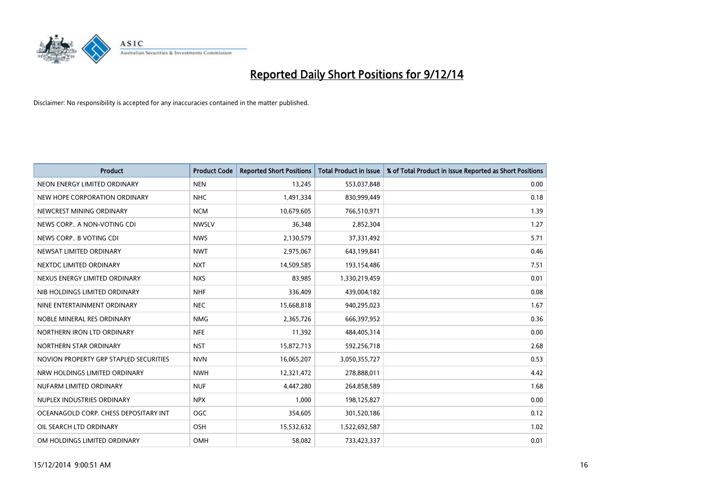

| <b>Product</b>                         | <b>Product Code</b> | <b>Reported Short Positions</b> | <b>Total Product in Issue</b> | % of Total Product in Issue Reported as Short Positions |
|----------------------------------------|---------------------|---------------------------------|-------------------------------|---------------------------------------------------------|
| NEON ENERGY LIMITED ORDINARY           | <b>NEN</b>          | 13,245                          | 553,037,848                   | 0.00                                                    |
| NEW HOPE CORPORATION ORDINARY          | <b>NHC</b>          | 1,491,334                       | 830,999,449                   | 0.18                                                    |
| NEWCREST MINING ORDINARY               | <b>NCM</b>          | 10,679,605                      | 766,510,971                   | 1.39                                                    |
| NEWS CORP A NON-VOTING CDI             | <b>NWSLV</b>        | 36,348                          | 2,852,304                     | 1.27                                                    |
| NEWS CORP B VOTING CDI                 | <b>NWS</b>          | 2,130,579                       | 37,331,492                    | 5.71                                                    |
| NEWSAT LIMITED ORDINARY                | <b>NWT</b>          | 2,975,067                       | 643,199,841                   | 0.46                                                    |
| NEXTDC LIMITED ORDINARY                | <b>NXT</b>          | 14,509,585                      | 193,154,486                   | 7.51                                                    |
| NEXUS ENERGY LIMITED ORDINARY          | <b>NXS</b>          | 83,985                          | 1,330,219,459                 | 0.01                                                    |
| NIB HOLDINGS LIMITED ORDINARY          | <b>NHF</b>          | 336,409                         | 439,004,182                   | 0.08                                                    |
| NINE ENTERTAINMENT ORDINARY            | <b>NEC</b>          | 15,668,818                      | 940,295,023                   | 1.67                                                    |
| NOBLE MINERAL RES ORDINARY             | <b>NMG</b>          | 2,365,726                       | 666,397,952                   | 0.36                                                    |
| NORTHERN IRON LTD ORDINARY             | <b>NFE</b>          | 11,392                          | 484,405,314                   | 0.00                                                    |
| NORTHERN STAR ORDINARY                 | <b>NST</b>          | 15,872,713                      | 592,256,718                   | 2.68                                                    |
| NOVION PROPERTY GRP STAPLED SECURITIES | <b>NVN</b>          | 16,065,207                      | 3,050,355,727                 | 0.53                                                    |
| NRW HOLDINGS LIMITED ORDINARY          | <b>NWH</b>          | 12,321,472                      | 278,888,011                   | 4.42                                                    |
| NUFARM LIMITED ORDINARY                | <b>NUF</b>          | 4,447,280                       | 264,858,589                   | 1.68                                                    |
| NUPLEX INDUSTRIES ORDINARY             | <b>NPX</b>          | 1,000                           | 198,125,827                   | 0.00                                                    |
| OCEANAGOLD CORP. CHESS DEPOSITARY INT  | <b>OGC</b>          | 354,605                         | 301,520,186                   | 0.12                                                    |
| OIL SEARCH LTD ORDINARY                | OSH                 | 15,532,632                      | 1,522,692,587                 | 1.02                                                    |
| OM HOLDINGS LIMITED ORDINARY           | <b>OMH</b>          | 58,082                          | 733,423,337                   | 0.01                                                    |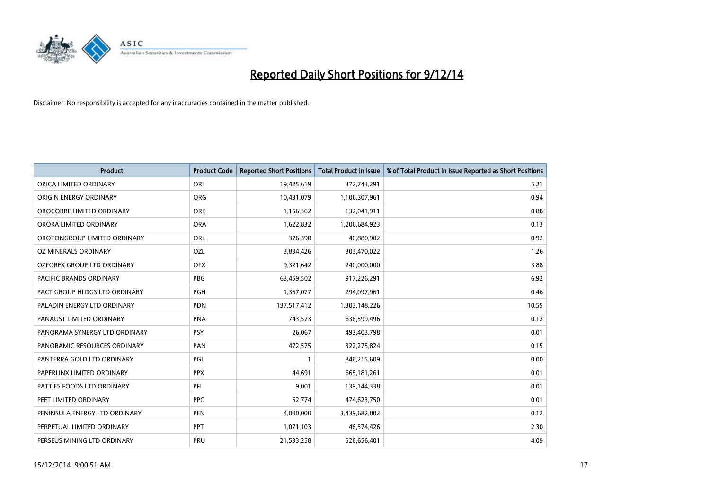

| <b>Product</b>                | <b>Product Code</b> | <b>Reported Short Positions</b> | <b>Total Product in Issue</b> | % of Total Product in Issue Reported as Short Positions |
|-------------------------------|---------------------|---------------------------------|-------------------------------|---------------------------------------------------------|
| ORICA LIMITED ORDINARY        | ORI                 | 19,425,619                      | 372,743,291                   | 5.21                                                    |
| ORIGIN ENERGY ORDINARY        | <b>ORG</b>          | 10,431,079                      | 1,106,307,961                 | 0.94                                                    |
| OROCOBRE LIMITED ORDINARY     | <b>ORE</b>          | 1,156,362                       | 132,041,911                   | 0.88                                                    |
| ORORA LIMITED ORDINARY        | <b>ORA</b>          | 1,622,832                       | 1,206,684,923                 | 0.13                                                    |
| OROTONGROUP LIMITED ORDINARY  | ORL                 | 376,390                         | 40,880,902                    | 0.92                                                    |
| OZ MINERALS ORDINARY          | <b>OZL</b>          | 3,834,426                       | 303,470,022                   | 1.26                                                    |
| OZFOREX GROUP LTD ORDINARY    | <b>OFX</b>          | 9,321,642                       | 240,000,000                   | 3.88                                                    |
| PACIFIC BRANDS ORDINARY       | <b>PBG</b>          | 63,459,502                      | 917,226,291                   | 6.92                                                    |
| PACT GROUP HLDGS LTD ORDINARY | <b>PGH</b>          | 1,367,077                       | 294,097,961                   | 0.46                                                    |
| PALADIN ENERGY LTD ORDINARY   | <b>PDN</b>          | 137,517,412                     | 1,303,148,226                 | 10.55                                                   |
| PANAUST LIMITED ORDINARY      | <b>PNA</b>          | 743,523                         | 636,599,496                   | 0.12                                                    |
| PANORAMA SYNERGY LTD ORDINARY | <b>PSY</b>          | 26,067                          | 493,403,798                   | 0.01                                                    |
| PANORAMIC RESOURCES ORDINARY  | PAN                 | 472,575                         | 322,275,824                   | 0.15                                                    |
| PANTERRA GOLD LTD ORDINARY    | PGI                 | $\mathbf{1}$                    | 846,215,609                   | 0.00                                                    |
| PAPERLINX LIMITED ORDINARY    | <b>PPX</b>          | 44,691                          | 665, 181, 261                 | 0.01                                                    |
| PATTIES FOODS LTD ORDINARY    | PFL                 | 9,001                           | 139,144,338                   | 0.01                                                    |
| PEET LIMITED ORDINARY         | <b>PPC</b>          | 52,774                          | 474,623,750                   | 0.01                                                    |
| PENINSULA ENERGY LTD ORDINARY | <b>PEN</b>          | 4,000,000                       | 3,439,682,002                 | 0.12                                                    |
| PERPETUAL LIMITED ORDINARY    | <b>PPT</b>          | 1,071,103                       | 46,574,426                    | 2.30                                                    |
| PERSEUS MINING LTD ORDINARY   | PRU                 | 21,533,258                      | 526,656,401                   | 4.09                                                    |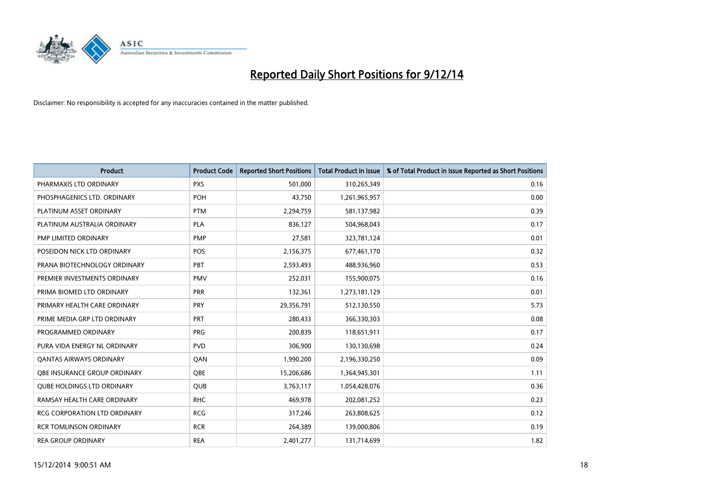

| <b>Product</b>                    | <b>Product Code</b> | <b>Reported Short Positions</b> | <b>Total Product in Issue</b> | % of Total Product in Issue Reported as Short Positions |
|-----------------------------------|---------------------|---------------------------------|-------------------------------|---------------------------------------------------------|
| PHARMAXIS LTD ORDINARY            | <b>PXS</b>          | 501,000                         | 310,265,349                   | 0.16                                                    |
| PHOSPHAGENICS LTD. ORDINARY       | <b>POH</b>          | 43,750                          | 1,261,965,957                 | 0.00                                                    |
| PLATINUM ASSET ORDINARY           | <b>PTM</b>          | 2,294,759                       | 581,137,982                   | 0.39                                                    |
| PLATINUM AUSTRALIA ORDINARY       | <b>PLA</b>          | 836,127                         | 504,968,043                   | 0.17                                                    |
| PMP LIMITED ORDINARY              | <b>PMP</b>          | 27,581                          | 323,781,124                   | 0.01                                                    |
| POSEIDON NICK LTD ORDINARY        | POS                 | 2,156,375                       | 677,461,170                   | 0.32                                                    |
| PRANA BIOTECHNOLOGY ORDINARY      | <b>PBT</b>          | 2,593,493                       | 488,936,960                   | 0.53                                                    |
| PREMIER INVESTMENTS ORDINARY      | <b>PMV</b>          | 252,031                         | 155,900,075                   | 0.16                                                    |
| PRIMA BIOMED LTD ORDINARY         | <b>PRR</b>          | 132,361                         | 1,273,181,129                 | 0.01                                                    |
| PRIMARY HEALTH CARE ORDINARY      | PRY                 | 29,356,791                      | 512,130,550                   | 5.73                                                    |
| PRIME MEDIA GRP LTD ORDINARY      | <b>PRT</b>          | 280,433                         | 366,330,303                   | 0.08                                                    |
| PROGRAMMED ORDINARY               | <b>PRG</b>          | 200,839                         | 118,651,911                   | 0.17                                                    |
| PURA VIDA ENERGY NL ORDINARY      | <b>PVD</b>          | 306,900                         | 130,130,698                   | 0.24                                                    |
| <b>QANTAS AIRWAYS ORDINARY</b>    | QAN                 | 1,990,200                       | 2,196,330,250                 | 0.09                                                    |
| OBE INSURANCE GROUP ORDINARY      | <b>OBE</b>          | 15,206,686                      | 1,364,945,301                 | 1.11                                                    |
| <b>QUBE HOLDINGS LTD ORDINARY</b> | <b>QUB</b>          | 3,763,117                       | 1,054,428,076                 | 0.36                                                    |
| RAMSAY HEALTH CARE ORDINARY       | <b>RHC</b>          | 469,978                         | 202,081,252                   | 0.23                                                    |
| RCG CORPORATION LTD ORDINARY      | <b>RCG</b>          | 317,246                         | 263,808,625                   | 0.12                                                    |
| <b>RCR TOMLINSON ORDINARY</b>     | <b>RCR</b>          | 264,389                         | 139,000,806                   | 0.19                                                    |
| <b>REA GROUP ORDINARY</b>         | <b>REA</b>          | 2,401,277                       | 131,714,699                   | 1.82                                                    |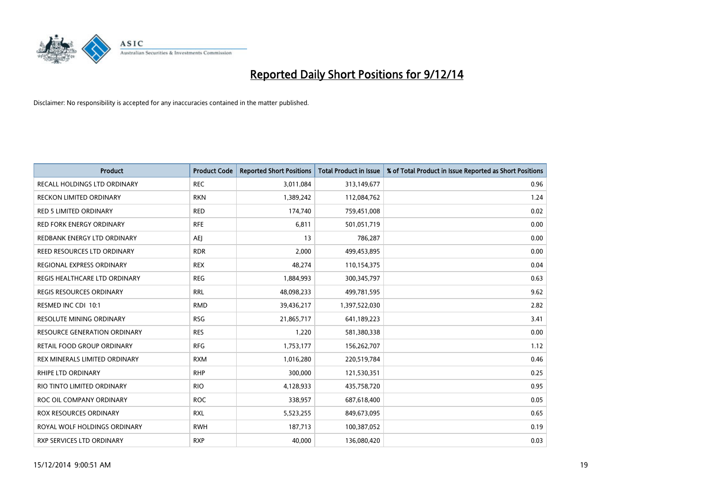

| Product                             | <b>Product Code</b> | <b>Reported Short Positions</b> | <b>Total Product in Issue</b> | % of Total Product in Issue Reported as Short Positions |
|-------------------------------------|---------------------|---------------------------------|-------------------------------|---------------------------------------------------------|
| RECALL HOLDINGS LTD ORDINARY        | <b>REC</b>          | 3,011,084                       | 313,149,677                   | 0.96                                                    |
| RECKON LIMITED ORDINARY             | <b>RKN</b>          | 1,389,242                       | 112,084,762                   | 1.24                                                    |
| <b>RED 5 LIMITED ORDINARY</b>       | <b>RED</b>          | 174,740                         | 759,451,008                   | 0.02                                                    |
| <b>RED FORK ENERGY ORDINARY</b>     | <b>RFE</b>          | 6,811                           | 501,051,719                   | 0.00                                                    |
| REDBANK ENERGY LTD ORDINARY         | <b>AEI</b>          | 13                              | 786,287                       | 0.00                                                    |
| REED RESOURCES LTD ORDINARY         | <b>RDR</b>          | 2,000                           | 499,453,895                   | 0.00                                                    |
| REGIONAL EXPRESS ORDINARY           | <b>REX</b>          | 48,274                          | 110,154,375                   | 0.04                                                    |
| REGIS HEALTHCARE LTD ORDINARY       | <b>REG</b>          | 1,884,993                       | 300, 345, 797                 | 0.63                                                    |
| <b>REGIS RESOURCES ORDINARY</b>     | <b>RRL</b>          | 48,098,233                      | 499,781,595                   | 9.62                                                    |
| RESMED INC CDI 10:1                 | <b>RMD</b>          | 39,436,217                      | 1,397,522,030                 | 2.82                                                    |
| RESOLUTE MINING ORDINARY            | <b>RSG</b>          | 21,865,717                      | 641,189,223                   | 3.41                                                    |
| <b>RESOURCE GENERATION ORDINARY</b> | <b>RES</b>          | 1,220                           | 581,380,338                   | 0.00                                                    |
| RETAIL FOOD GROUP ORDINARY          | <b>RFG</b>          | 1,753,177                       | 156,262,707                   | 1.12                                                    |
| REX MINERALS LIMITED ORDINARY       | <b>RXM</b>          | 1,016,280                       | 220,519,784                   | 0.46                                                    |
| <b>RHIPE LTD ORDINARY</b>           | <b>RHP</b>          | 300,000                         | 121,530,351                   | 0.25                                                    |
| RIO TINTO LIMITED ORDINARY          | <b>RIO</b>          | 4,128,933                       | 435,758,720                   | 0.95                                                    |
| ROC OIL COMPANY ORDINARY            | <b>ROC</b>          | 338,957                         | 687,618,400                   | 0.05                                                    |
| ROX RESOURCES ORDINARY              | <b>RXL</b>          | 5,523,255                       | 849,673,095                   | 0.65                                                    |
| ROYAL WOLF HOLDINGS ORDINARY        | <b>RWH</b>          | 187,713                         | 100,387,052                   | 0.19                                                    |
| RXP SERVICES LTD ORDINARY           | <b>RXP</b>          | 40,000                          | 136,080,420                   | 0.03                                                    |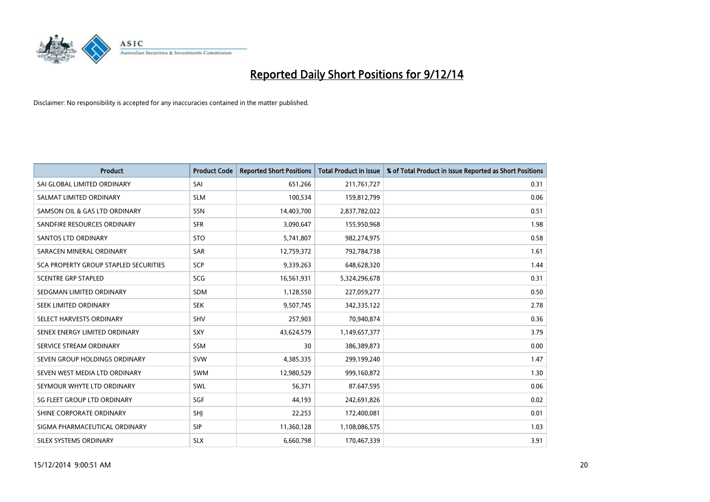

| <b>Product</b>                        | <b>Product Code</b> | <b>Reported Short Positions</b> | <b>Total Product in Issue</b> | % of Total Product in Issue Reported as Short Positions |
|---------------------------------------|---------------------|---------------------------------|-------------------------------|---------------------------------------------------------|
| SAI GLOBAL LIMITED ORDINARY           | SAI                 | 651,266                         | 211,761,727                   | 0.31                                                    |
| SALMAT LIMITED ORDINARY               | <b>SLM</b>          | 100,534                         | 159,812,799                   | 0.06                                                    |
| SAMSON OIL & GAS LTD ORDINARY         | SSN                 | 14,403,700                      | 2,837,782,022                 | 0.51                                                    |
| SANDFIRE RESOURCES ORDINARY           | <b>SFR</b>          | 3,090,647                       | 155,950,968                   | 1.98                                                    |
| SANTOS LTD ORDINARY                   | <b>STO</b>          | 5,741,807                       | 982,274,975                   | 0.58                                                    |
| SARACEN MINERAL ORDINARY              | SAR                 | 12,759,372                      | 792,784,738                   | 1.61                                                    |
| SCA PROPERTY GROUP STAPLED SECURITIES | <b>SCP</b>          | 9,339,263                       | 648,628,320                   | 1.44                                                    |
| <b>SCENTRE GRP STAPLED</b>            | SCG                 | 16,561,931                      | 5,324,296,678                 | 0.31                                                    |
| SEDGMAN LIMITED ORDINARY              | <b>SDM</b>          | 1,128,550                       | 227,059,277                   | 0.50                                                    |
| SEEK LIMITED ORDINARY                 | <b>SEK</b>          | 9,507,745                       | 342,335,122                   | 2.78                                                    |
| SELECT HARVESTS ORDINARY              | SHV                 | 257,903                         | 70,940,874                    | 0.36                                                    |
| SENEX ENERGY LIMITED ORDINARY         | <b>SXY</b>          | 43,624,579                      | 1,149,657,377                 | 3.79                                                    |
| SERVICE STREAM ORDINARY               | SSM                 | 30                              | 386,389,873                   | 0.00                                                    |
| SEVEN GROUP HOLDINGS ORDINARY         | <b>SVW</b>          | 4,385,335                       | 299,199,240                   | 1.47                                                    |
| SEVEN WEST MEDIA LTD ORDINARY         | <b>SWM</b>          | 12,980,529                      | 999,160,872                   | 1.30                                                    |
| SEYMOUR WHYTE LTD ORDINARY            | SWL                 | 56,371                          | 87,647,595                    | 0.06                                                    |
| SG FLEET GROUP LTD ORDINARY           | SGF                 | 44,193                          | 242,691,826                   | 0.02                                                    |
| SHINE CORPORATE ORDINARY              | SHJ                 | 22,253                          | 172,400,081                   | 0.01                                                    |
| SIGMA PHARMACEUTICAL ORDINARY         | <b>SIP</b>          | 11,360,128                      | 1,108,086,575                 | 1.03                                                    |
| <b>SILEX SYSTEMS ORDINARY</b>         | <b>SLX</b>          | 6,660,798                       | 170,467,339                   | 3.91                                                    |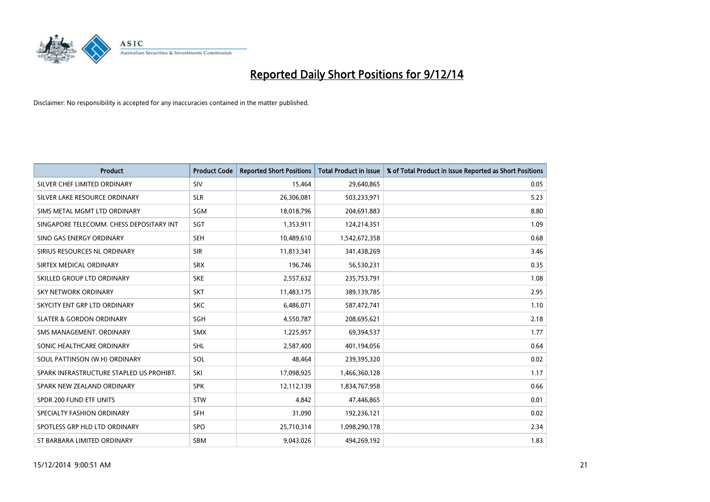

| <b>Product</b>                           | <b>Product Code</b> | <b>Reported Short Positions</b> | <b>Total Product in Issue</b> | % of Total Product in Issue Reported as Short Positions |
|------------------------------------------|---------------------|---------------------------------|-------------------------------|---------------------------------------------------------|
| SILVER CHEF LIMITED ORDINARY             | SIV                 | 15,464                          | 29,640,865                    | 0.05                                                    |
| SILVER LAKE RESOURCE ORDINARY            | <b>SLR</b>          | 26,306,081                      | 503,233,971                   | 5.23                                                    |
| SIMS METAL MGMT LTD ORDINARY             | SGM                 | 18,018,796                      | 204,691,883                   | 8.80                                                    |
| SINGAPORE TELECOMM. CHESS DEPOSITARY INT | SGT                 | 1,353,911                       | 124,214,351                   | 1.09                                                    |
| SINO GAS ENERGY ORDINARY                 | <b>SEH</b>          | 10,489,610                      | 1,542,672,358                 | 0.68                                                    |
| SIRIUS RESOURCES NL ORDINARY             | <b>SIR</b>          | 11,813,341                      | 341,438,269                   | 3.46                                                    |
| SIRTEX MEDICAL ORDINARY                  | <b>SRX</b>          | 196,746                         | 56,530,231                    | 0.35                                                    |
| SKILLED GROUP LTD ORDINARY               | <b>SKE</b>          | 2,557,632                       | 235,753,791                   | 1.08                                                    |
| <b>SKY NETWORK ORDINARY</b>              | <b>SKT</b>          | 11,483,175                      | 389,139,785                   | 2.95                                                    |
| SKYCITY ENT GRP LTD ORDINARY             | <b>SKC</b>          | 6,486,071                       | 587,472,741                   | 1.10                                                    |
| <b>SLATER &amp; GORDON ORDINARY</b>      | SGH                 | 4,550,787                       | 208,695,621                   | 2.18                                                    |
| SMS MANAGEMENT, ORDINARY                 | SMX                 | 1,225,957                       | 69,394,537                    | 1.77                                                    |
| SONIC HEALTHCARE ORDINARY                | SHL                 | 2,587,400                       | 401,194,056                   | 0.64                                                    |
| SOUL PATTINSON (W.H) ORDINARY            | SOL                 | 48,464                          | 239,395,320                   | 0.02                                                    |
| SPARK INFRASTRUCTURE STAPLED US PROHIBT. | SKI                 | 17,098,925                      | 1,466,360,128                 | 1.17                                                    |
| SPARK NEW ZEALAND ORDINARY               | <b>SPK</b>          | 12,112,139                      | 1,834,767,958                 | 0.66                                                    |
| SPDR 200 FUND ETF UNITS                  | <b>STW</b>          | 4,842                           | 47,446,865                    | 0.01                                                    |
| SPECIALTY FASHION ORDINARY               | <b>SFH</b>          | 31,090                          | 192,236,121                   | 0.02                                                    |
| SPOTLESS GRP HLD LTD ORDINARY            | <b>SPO</b>          | 25,710,314                      | 1,098,290,178                 | 2.34                                                    |
| ST BARBARA LIMITED ORDINARY              | <b>SBM</b>          | 9,043,026                       | 494,269,192                   | 1.83                                                    |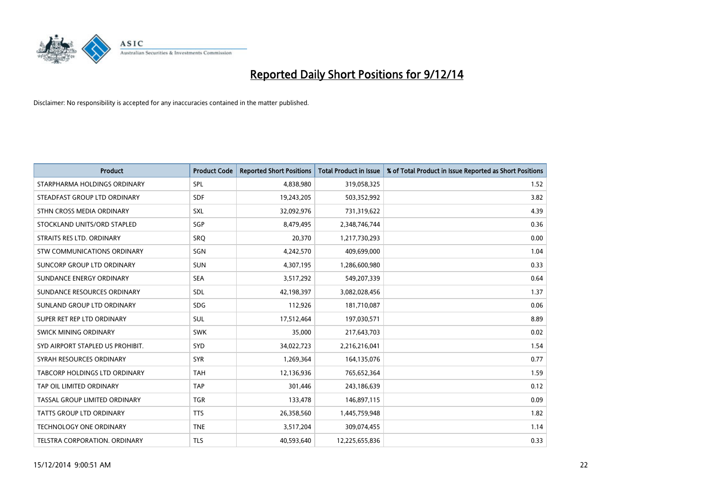

| <b>Product</b>                   | <b>Product Code</b> | <b>Reported Short Positions</b> | <b>Total Product in Issue</b> | % of Total Product in Issue Reported as Short Positions |
|----------------------------------|---------------------|---------------------------------|-------------------------------|---------------------------------------------------------|
| STARPHARMA HOLDINGS ORDINARY     | <b>SPL</b>          | 4,838,980                       | 319,058,325                   | 1.52                                                    |
| STEADFAST GROUP LTD ORDINARY     | <b>SDF</b>          | 19,243,205                      | 503,352,992                   | 3.82                                                    |
| STHN CROSS MEDIA ORDINARY        | <b>SXL</b>          | 32,092,976                      | 731,319,622                   | 4.39                                                    |
| STOCKLAND UNITS/ORD STAPLED      | SGP                 | 8,479,495                       | 2,348,746,744                 | 0.36                                                    |
| STRAITS RES LTD. ORDINARY        | SRO                 | 20,370                          | 1,217,730,293                 | 0.00                                                    |
| STW COMMUNICATIONS ORDINARY      | SGN                 | 4,242,570                       | 409,699,000                   | 1.04                                                    |
| SUNCORP GROUP LTD ORDINARY       | <b>SUN</b>          | 4,307,195                       | 1,286,600,980                 | 0.33                                                    |
| SUNDANCE ENERGY ORDINARY         | <b>SEA</b>          | 3,517,292                       | 549,207,339                   | 0.64                                                    |
| SUNDANCE RESOURCES ORDINARY      | <b>SDL</b>          | 42,198,397                      | 3,082,028,456                 | 1.37                                                    |
| SUNLAND GROUP LTD ORDINARY       | <b>SDG</b>          | 112,926                         | 181,710,087                   | 0.06                                                    |
| SUPER RET REP LTD ORDINARY       | SUL                 | 17,512,464                      | 197,030,571                   | 8.89                                                    |
| SWICK MINING ORDINARY            | <b>SWK</b>          | 35,000                          | 217,643,703                   | 0.02                                                    |
| SYD AIRPORT STAPLED US PROHIBIT. | <b>SYD</b>          | 34,022,723                      | 2,216,216,041                 | 1.54                                                    |
| SYRAH RESOURCES ORDINARY         | <b>SYR</b>          | 1,269,364                       | 164,135,076                   | 0.77                                                    |
| TABCORP HOLDINGS LTD ORDINARY    | <b>TAH</b>          | 12,136,936                      | 765,652,364                   | 1.59                                                    |
| TAP OIL LIMITED ORDINARY         | <b>TAP</b>          | 301,446                         | 243,186,639                   | 0.12                                                    |
| TASSAL GROUP LIMITED ORDINARY    | <b>TGR</b>          | 133,478                         | 146,897,115                   | 0.09                                                    |
| TATTS GROUP LTD ORDINARY         | <b>TTS</b>          | 26,358,560                      | 1,445,759,948                 | 1.82                                                    |
| <b>TECHNOLOGY ONE ORDINARY</b>   | <b>TNE</b>          | 3,517,204                       | 309,074,455                   | 1.14                                                    |
| TELSTRA CORPORATION. ORDINARY    | <b>TLS</b>          | 40,593,640                      | 12,225,655,836                | 0.33                                                    |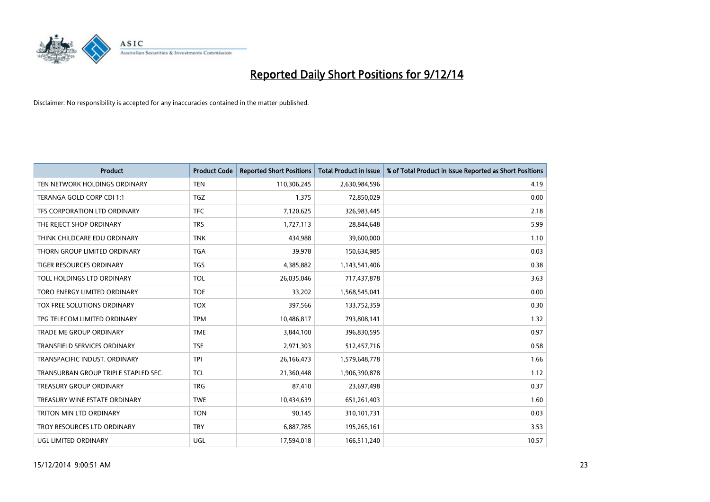

| <b>Product</b>                       | <b>Product Code</b> | <b>Reported Short Positions</b> | <b>Total Product in Issue</b> | % of Total Product in Issue Reported as Short Positions |
|--------------------------------------|---------------------|---------------------------------|-------------------------------|---------------------------------------------------------|
| TEN NETWORK HOLDINGS ORDINARY        | <b>TEN</b>          | 110,306,245                     | 2,630,984,596                 | 4.19                                                    |
| TERANGA GOLD CORP CDI 1:1            | TGZ                 | 1,375                           | 72,850,029                    | 0.00                                                    |
| TFS CORPORATION LTD ORDINARY         | <b>TFC</b>          | 7,120,625                       | 326,983,445                   | 2.18                                                    |
| THE REJECT SHOP ORDINARY             | <b>TRS</b>          | 1,727,113                       | 28,844,648                    | 5.99                                                    |
| THINK CHILDCARE EDU ORDINARY         | <b>TNK</b>          | 434,988                         | 39,600,000                    | 1.10                                                    |
| THORN GROUP LIMITED ORDINARY         | <b>TGA</b>          | 39,978                          | 150,634,985                   | 0.03                                                    |
| TIGER RESOURCES ORDINARY             | <b>TGS</b>          | 4,385,882                       | 1,143,541,406                 | 0.38                                                    |
| TOLL HOLDINGS LTD ORDINARY           | <b>TOL</b>          | 26,035,046                      | 717,437,878                   | 3.63                                                    |
| TORO ENERGY LIMITED ORDINARY         | <b>TOE</b>          | 33,202                          | 1,568,545,041                 | 0.00                                                    |
| TOX FREE SOLUTIONS ORDINARY          | <b>TOX</b>          | 397,566                         | 133,752,359                   | 0.30                                                    |
| TPG TELECOM LIMITED ORDINARY         | <b>TPM</b>          | 10,486,817                      | 793,808,141                   | 1.32                                                    |
| <b>TRADE ME GROUP ORDINARY</b>       | <b>TME</b>          | 3,844,100                       | 396,830,595                   | 0.97                                                    |
| TRANSFIELD SERVICES ORDINARY         | <b>TSE</b>          | 2,971,303                       | 512,457,716                   | 0.58                                                    |
| TRANSPACIFIC INDUST, ORDINARY        | <b>TPI</b>          | 26,166,473                      | 1,579,648,778                 | 1.66                                                    |
| TRANSURBAN GROUP TRIPLE STAPLED SEC. | <b>TCL</b>          | 21,360,448                      | 1,906,390,878                 | 1.12                                                    |
| TREASURY GROUP ORDINARY              | <b>TRG</b>          | 87,410                          | 23,697,498                    | 0.37                                                    |
| TREASURY WINE ESTATE ORDINARY        | <b>TWE</b>          | 10,434,639                      | 651,261,403                   | 1.60                                                    |
| TRITON MIN LTD ORDINARY              | <b>TON</b>          | 90,145                          | 310,101,731                   | 0.03                                                    |
| TROY RESOURCES LTD ORDINARY          | <b>TRY</b>          | 6,887,785                       | 195,265,161                   | 3.53                                                    |
| UGL LIMITED ORDINARY                 | UGL                 | 17,594,018                      | 166,511,240                   | 10.57                                                   |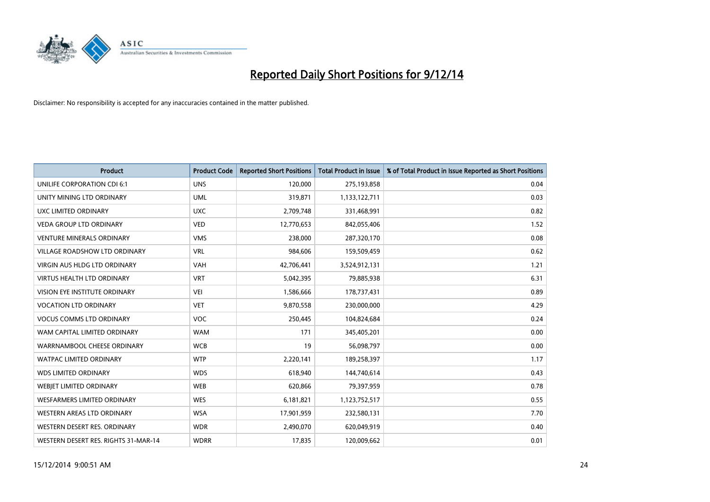

| <b>Product</b>                       | <b>Product Code</b> | <b>Reported Short Positions</b> | <b>Total Product in Issue</b> | % of Total Product in Issue Reported as Short Positions |
|--------------------------------------|---------------------|---------------------------------|-------------------------------|---------------------------------------------------------|
| UNILIFE CORPORATION CDI 6:1          | <b>UNS</b>          | 120,000                         | 275,193,858                   | 0.04                                                    |
| UNITY MINING LTD ORDINARY            | <b>UML</b>          | 319,871                         | 1,133,122,711                 | 0.03                                                    |
| UXC LIMITED ORDINARY                 | <b>UXC</b>          | 2,709,748                       | 331,468,991                   | 0.82                                                    |
| <b>VEDA GROUP LTD ORDINARY</b>       | <b>VED</b>          | 12,770,653                      | 842,055,406                   | 1.52                                                    |
| <b>VENTURE MINERALS ORDINARY</b>     | <b>VMS</b>          | 238,000                         | 287,320,170                   | 0.08                                                    |
| <b>VILLAGE ROADSHOW LTD ORDINARY</b> | <b>VRL</b>          | 984,606                         | 159,509,459                   | 0.62                                                    |
| <b>VIRGIN AUS HLDG LTD ORDINARY</b>  | <b>VAH</b>          | 42,706,441                      | 3,524,912,131                 | 1.21                                                    |
| <b>VIRTUS HEALTH LTD ORDINARY</b>    | <b>VRT</b>          | 5,042,395                       | 79,885,938                    | 6.31                                                    |
| VISION EYE INSTITUTE ORDINARY        | <b>VEI</b>          | 1,586,666                       | 178,737,431                   | 0.89                                                    |
| <b>VOCATION LTD ORDINARY</b>         | <b>VET</b>          | 9,870,558                       | 230,000,000                   | 4.29                                                    |
| <b>VOCUS COMMS LTD ORDINARY</b>      | <b>VOC</b>          | 250,445                         | 104,824,684                   | 0.24                                                    |
| WAM CAPITAL LIMITED ORDINARY         | <b>WAM</b>          | 171                             | 345,405,201                   | 0.00                                                    |
| WARRNAMBOOL CHEESE ORDINARY          | <b>WCB</b>          | 19                              | 56,098,797                    | 0.00                                                    |
| <b>WATPAC LIMITED ORDINARY</b>       | <b>WTP</b>          | 2,220,141                       | 189,258,397                   | 1.17                                                    |
| <b>WDS LIMITED ORDINARY</b>          | <b>WDS</b>          | 618,940                         | 144,740,614                   | 0.43                                                    |
| WEBIET LIMITED ORDINARY              | <b>WEB</b>          | 620,866                         | 79,397,959                    | 0.78                                                    |
| WESFARMERS LIMITED ORDINARY          | <b>WES</b>          | 6,181,821                       | 1,123,752,517                 | 0.55                                                    |
| <b>WESTERN AREAS LTD ORDINARY</b>    | <b>WSA</b>          | 17,901,959                      | 232,580,131                   | 7.70                                                    |
| WESTERN DESERT RES. ORDINARY         | <b>WDR</b>          | 2,490,070                       | 620,049,919                   | 0.40                                                    |
| WESTERN DESERT RES. RIGHTS 31-MAR-14 | <b>WDRR</b>         | 17,835                          | 120,009,662                   | 0.01                                                    |